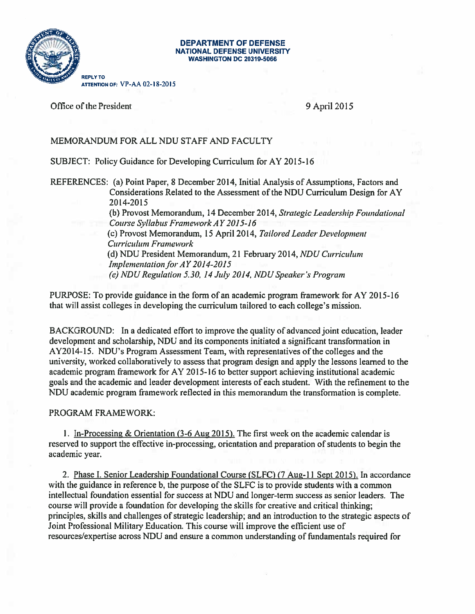

## DEPARTMENT OF DEFENSE **NATIONAL DEFENSE UNIVERSITY** WASHINGTON DC 20319-5066

Office of the President 9 April 2015

## MEMORANDUM FOR ALL NDU STAFF AND FACULTY

SUBJECT: Policy Guidance for Developing Curriculum for AY 2015-16

REFERENCES: (a) Point Paper, <sup>8</sup> December2014, Initial Analysis of Assumptions, Factors and Considerations Related to the Assessment of the NDU Curriculum Design forAY 20 14-20 15

(b) Provost Memorandum, 14 December 2014, Strategic Leadership Foundational Course Syllabus FrameworkAY2ol5-16 (c) Provost Memorandum, 15 April 2014, Tailored Leader Development Curricuhun Framework (d)NDU President Memorandum. 21 February 2014, NDU Curriculum Implementation for  $AY$  2014-2015 (e) NDU Regulation 5.30, 14 July 2014, NDU Speaker's Program

PURPOSE: To provide guidance in the form of an academic program framework for AY 2015-16 that will assist colleges in developing the curriculum tailored to each college's mission.

BACKGROUND: In a dedicated effort to improve the quality of advanced joint education, leader development and scholarship, NDU and its components initiated a significant transformation in AY2O 14-15. NDU's Program Assessment Team, with representatives of the colleges and the university, worked collaboratively to assess that program design and apply the lessons learned to the academic program framework forAY 2015-16 to better support achieving institutional academic goals and the academic and leader development interests of each student. With the refinement to the NDU academic program framework reflected in this memorandum the transformation is complete.

## PROGRAM FRAMEWORK:

1. In-Processing & Orientation (3-6 Aug 2015). The first week on the academic calendar is reserved to support the effective in-processing, orientation and preparation of students to begin the academic year.

2. Phase I. Senior Leadership Foundational Course (SLFC) (7 Aug-11 Sept 2015). In accordance with the guidance in reference b, the purpose of the SLFC is to provide students with a common intellectual foundation essential for success at NDU and longer-term success as senior leaders. The course will provide a foundation for developing the skills for creative and critical thinking; principles, skills and challenges of strategic leadership; and an introduction to the strategic aspects of Joint Professional Military Education. This course will improve the efficient use of resources/expertise across NDU and ensure a common understanding of fundamentals required for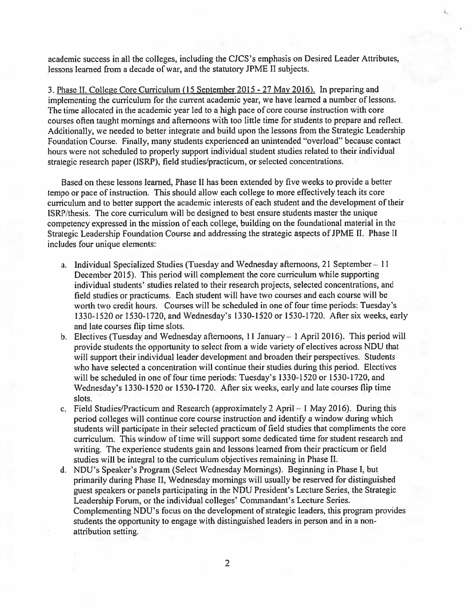academic success in all the colleges, including the CJCS's emphasis on Desired Leader Attributes, lessons learned from a decade of war, and the statutory JPME II subjects.

3. Phase II. Co1leze Core Curriculum (15 September 2015-27 May 2016). In preparing and implementing the curriculum for the current academic year, we have learned <sup>a</sup> number of lessons. The time allocatcd in the academic year led to a high pace of core course instruction with core courses often taught mornings and afternoons with too little time for students to prepare and reflect. Additionally, we needed to better integrate and build upon the lessons from the Strategic Leadership Foundation Course. Finally, many students experienced an unintended "overload" because contact hours were not scheduled to properly support individual student studies related to their individual strategic research paper (ISRP), field studies/practicum, or selected concentrations.

Based on these lessons learned, Phase II has been extended by five weeks to provide a better tempo or pace of instruction. This should allow each college to more effectively teach its core curriculum and to better support the academic interests of each student and the development of their TSRP/thesis. The core curriculum will be designed to best ensure students master the unique competency expressed in the mission of each college, building on the foundational material in the Strategic Leadership Foundation Course and addressing the strategic aspects of JPME II. Phase II includes four unique elements:

- a. Individual Specialized Studies (Tuesday and Wednesday afternoons, 21 September II December 2015). This period will complement the core curriculum while supporting individual students' studies related to their research projects, selected concentrations, and field studies or practicums. Each student will have two courses and each course will be worth two credit hours. Courses will be scheduled in one of four time periods: Tuesday's 1330-1520 or 1530-1720, and Wednesday's 1330-1520 or 1530-1720. After six weeks, early and late courses flip time slots.
- b. Electives (Tuesday and Wednesday afternoons, II January—I April 2016). This period will provide students the opportunity to select from a wide variety of electives across NDU that will support their individual leader development and broaden their perspectives. Students who have selected a concentration will continue their studies during this period. Electives will be scheduled in one of four time periods: Tuesday's 1330-1520 or 1530-1720, and Wednesday's 1330-1520 or 1530-1720. After six weeks, early and late courses flip time slots.
- c. Field Studies/Practicum and Research (approximately <sup>2</sup> April <sup>I</sup> May 2016). During this period colleges will continue core course instruction and identify a window during which students will participate in their selected practicum of field studies that compliments the core curriculum. This window of time will support some dedicated time for student research and writing. The experience students gain and lessons learned from their practicum or field studies will be integral to the curriculum objectives remaining in Phase II.
- d. NDU's Speaker's Program (Select Wednesday Mornings). Beginning in Phase I. but primarily during Phase II, Wednesday mornings will usually be reserved for distinguished guest speakers or panels participating in the NDU President's Lecture Series, the Strategic Leadership Forum, or the individual colleges' Commandant's Lecture Series. Complementing NDU's focus on the development of strategic leaders, this program provides students the opportunity to engage with distinguished leaders in person and in a nonattribution setting.

2